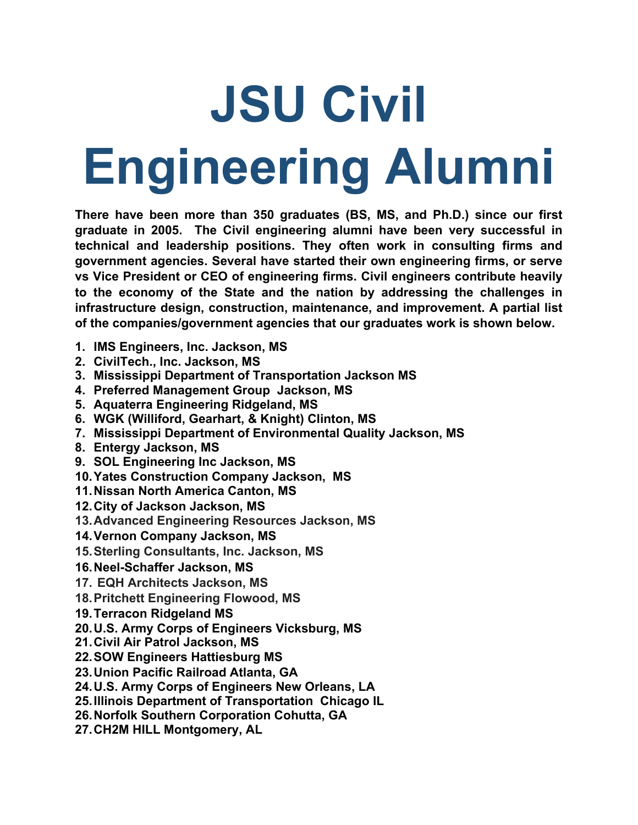## **JSU Civil Engineering Alumni**

**There have been more than 350 graduates (BS, MS, and Ph.D.) since our first graduate in 2005. The Civil engineering alumni have been very successful in technical and leadership positions. They often work in consulting firms and government agencies. Several have started their own engineering firms, or serve vs Vice President or CEO of engineering firms. Civil engineers contribute heavily to the economy of the State and the nation by addressing the challenges in infrastructure design, construction, maintenance, and improvement. A partial list of the companies/government agencies that our graduates work is shown below.**

- **1. IMS Engineers, Inc. Jackson, MS**
- **2. CivilTech., Inc. Jackson, MS**
- **3. Mississippi Department of Transportation Jackson MS**
- **4. Preferred Management Group Jackson, MS**
- **5. Aquaterra Engineering Ridgeland, MS**
- **6. WGK (Williford, Gearhart, & Knight) Clinton, MS**
- **7. Mississippi Department of Environmental Quality Jackson, MS**
- **8. Entergy Jackson, MS**
- **9. SOL Engineering Inc Jackson, MS**
- **10.Yates Construction Company Jackson, MS**
- **11.Nissan North America Canton, MS**
- **12.City of Jackson Jackson, MS**
- **13.Advanced Engineering Resources Jackson, MS**
- **14.Vernon Company Jackson, MS**
- **15.Sterling Consultants, Inc. Jackson, MS**
- **16.Neel-Schaffer Jackson, MS**
- **17. EQH Architects Jackson, MS**
- **18.Pritchett Engineering Flowood, MS**
- **19.Terracon Ridgeland MS**
- **20.U.S. Army Corps of Engineers Vicksburg, MS**
- **21.Civil Air Patrol Jackson, MS**
- **22.SOW Engineers Hattiesburg MS**
- **23.Union Pacific Railroad Atlanta, GA**
- **24.U.S. Army Corps of Engineers New Orleans, LA**
- **25.Illinois Department of Transportation Chicago IL**
- **26.Norfolk Southern Corporation Cohutta, GA**
- **27.CH2M HILL Montgomery, AL**